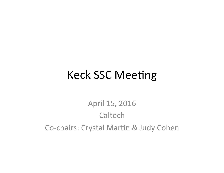### **Keck SSC Meeting**

### April 15, 2016 Caltech Co-chairs: Crystal Martin & Judy Cohen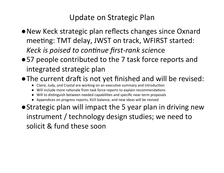#### Update on Strategic Plan

- New Keck strategic plan reflects changes since Oxnard meeting: TMT delay, JWST on track, WFIRST started: Keck is poised to continue first-rank science
- ●57 people contributed to the 7 task force reports and integrated strategic plan
- .The current draft is not yet finished and will be revised:
	- Claire, Judy, and Crystal are working on an executive summary and introduction
	- Will include more rationale from task force reports to explain recommendations
	- Will to distinguish between needed capabilities and specific near-term proposals
	- Appendices on progress reports, KI/II balance, and new ideas will be revised
- Strategic plan will impact the 5 year plan in driving new instrument / technology design studies; we need to solicit & fund these soon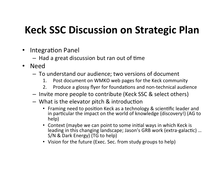### **Keck SSC Discussion on Strategic Plan**

- Integration Panel
	- $-$  Had a great discussion but ran out of time
- Need
	- $-$  To understand our audience; two versions of document
		- 1. Post document on WMKO web pages for the Keck community
		- 2. Produce a glossy flyer for foundations and non-technical audience
	- $-$  Invite more people to contribute (Keck SSC & select others)
	- $-$  What is the elevator pitch & introduction
		- Framing need to position Keck as a technology & scientific leader and in particular the impact on the world of knowledge (discovery!) (AG to help)
		- Context (maybe we can point to some initial ways in which Keck is leading in this changing landscape; Jason's GRB work (extra-galactic) … S/N & Dark Energy) (TG to help)
		- Vision for the future (Exec. Sec. from study groups to help)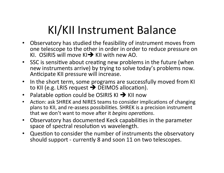# KI/KII Instrument Balance

- Observatory has studied the feasibility of instrument moves from  $\bullet$ one telescope to the other in order in order to reduce pressure on KI. OSIRIS will move  $K1 \rightarrow K1$  with new AO.
- SSC is sensitive about creating new problems in the future (when new instruments arrive) by trying to solve today's problems now. Anticipate KII pressure will increase.
- In the short term, some programs are successfully moved from KI  $\bullet$ to KII (e.g. LRIS request  $\rightarrow$  DEIMOS allocation).
- Palatable option could be OSIRIS KI  $\rightarrow$  KII now
- Action: ask SHREK and NIRES teams to consider implications of changing  $\bullet$ plans to KII, and re-assess possibilities. SHREK is a precision instrument that we don't want to move after it begins operations.
- Observatory has documented Keck capabilities in the parameter  $\bullet$ space of spectral resolution vs wavelength.
- Question to consider the number of instruments the observatory  $\bullet$ should support - currently 8 and soon 11 on two telescopes.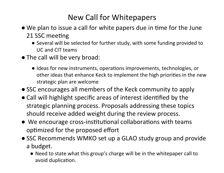#### New Call for Whitepapers

- We plan to issue a call for white papers due in time for the June 21 SSC meeting
	- Several will be selected for further study, with some funding provided to UC and CIT teams
- The call will be very broad:
	- Ideas for new instruments, operations improvements, technologies, or other ideas that enhance Keck to implement the high priorities in the new strategic plan are welcome
- SSC encourages all members of the Keck community to apply
- Call will highlight specific areas of interest identified by the strategic planning process. Proposals addressing these topics should receive added weight during the review process.
- $\bullet$  We encourage cross-institutional collaborations with teams optimized for the proposed effort
- SSC Recommends WMKO set up a GLAO study group and provide a budget.
	- Need to state what this group's charge will be in the whitepaper call to avoid duplication.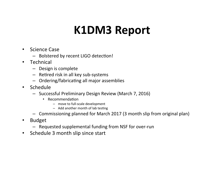## **K1DM3%Report%**

- Science Case
	- Bolstered by recent LIGO detection!
- $\bullet$  Technical
	- $-$  Design is complete
	- $-$  Retired risk in all key sub-systems
	- $-$  Ordering/fabricating all major assemblies
- Schedule
	- Successful Preliminary Design Review (March 7, 2016)
		- Recommendation
			- $-$  move to full-scale development
			- $-$  Add another month of lab testing
	- Commissioning planned for March 2017 (3 month slip from original plan)
- $\cdot$  Budget
	- $-$  Requested supplemental funding from NSF for over-run
- Schedule 3 month slip since start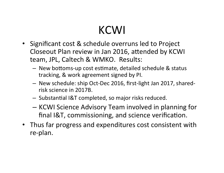# **KCWI**

- Significant cost & schedule overruns led to Project Closeout Plan review in Jan 2016, attended by KCWI team, JPL, Caltech & WMKO. Results:
	- $-$  New bottoms-up cost estimate, detailed schedule & status tracking, & work agreement signed by PI.
	- New schedule: ship Oct-Dec 2016, first-light Jan 2017, sharedrisk science in 2017B.
	- $-$  Substantial I&T completed, so major risks reduced.
	- KCWI Science Advisory Team involved in planning for final I&T, commissioning, and science verification.
- Thus far progress and expenditures cost consistent with re-plan.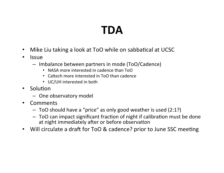# **TDA%**

- Mike Liu taking a look at ToO while on sabbatical at UCSC
- $\cdot$  Issue
	- $-$  Imbalance between partners in mode (ToO/Cadence)
		- NASA more interested in cadence than ToO
		- Caltech more interested in ToO than cadence
		- $\cdot$  UC/UH interested in both
- $\cdot$  Solution
	- $-$  One observatory model
- Comments
	- $-$  ToO should have a "price" as only good weather is used (2:1?)
	- $-$  ToO can impact significant fraction of night if calibration must be done at night immediately after or before observation
- Will circulate a draft for ToO & cadence? prior to June SSC meeting